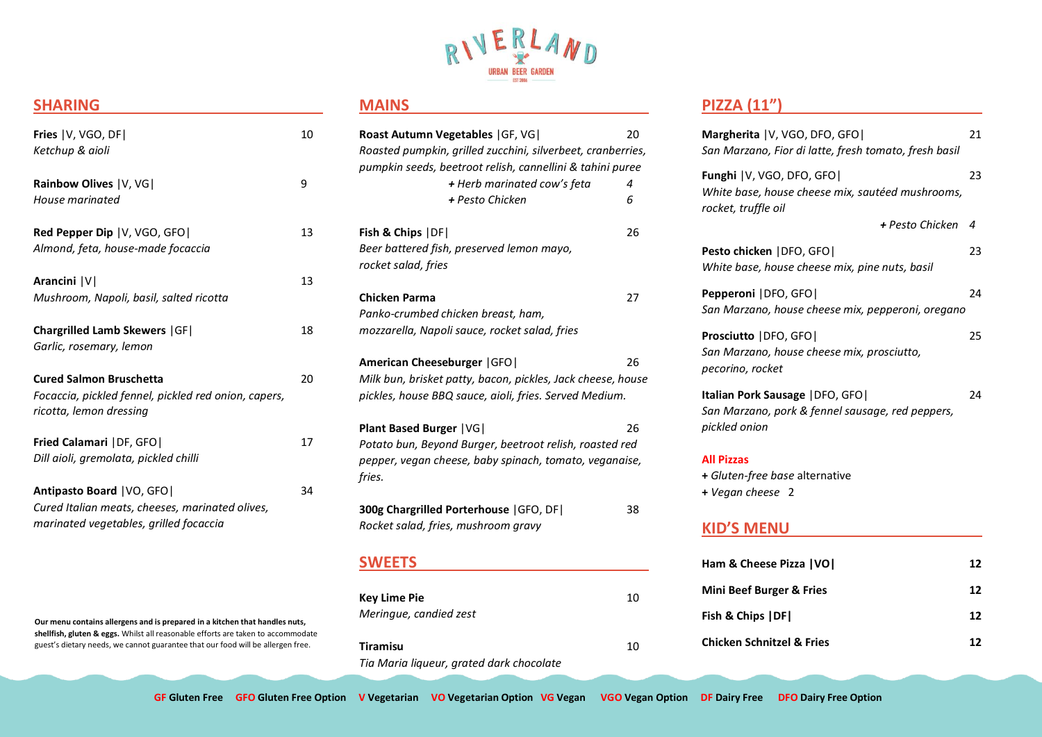

## **SHARING**

| Fries   V, VGO, DF <br>Ketchup & aioli                                                                                   | 10 |
|--------------------------------------------------------------------------------------------------------------------------|----|
| Rainbow Olives   V, VG <br>House marinated                                                                               | 9  |
| <b>Red Pepper Dip  V, VGO, GFO </b><br>Almond, feta, house-made focaccia                                                 | 13 |
| Arancini   V  <br>Mushroom, Napoli, basil, salted ricotta                                                                | 13 |
| <b>Chargrilled Lamb Skewers   GF  </b><br>Garlic, rosemary, lemon                                                        | 18 |
| <b>Cured Salmon Bruschetta</b><br>Focaccia, pickled fennel, pickled red onion, capers,<br>ricotta, lemon dressing        | 20 |
| Fried Calamari   DF, GFO  <br>Dill aioli, gremolata, pickled chilli                                                      | 17 |
| Antipasto Board   VO, GFO  <br>Cured Italian meats, cheeses, marinated olives,<br>marinated vegetables, grilled focaccia | 34 |

**Our menu contains allergens and is prepared in a kitchen that handles nuts, shellfish, gluten & eggs.** Whilst all reasonable efforts are taken to accommodate guest's dietary needs, we cannot guarantee that our food will be allergen free.

l

## **MAINS**

| Roast Autumn Vegetables   GF, VG                            | 20 |
|-------------------------------------------------------------|----|
| Roasted pumpkin, grilled zucchini, silverbeet, cranberries, |    |
| pumpkin seeds, beetroot relish, cannellini & tahini puree   |    |
| + Herb marinated cow's feta                                 | 4  |
| + Pesto Chicken                                             | 6  |
| Fish & Chips   DF                                           | 26 |
| Beer battered fish, preserved lemon mayo,                   |    |
| rocket salad, fries                                         |    |
| <b>Chicken Parma</b>                                        | 27 |
| Panko-crumbed chicken breast, ham,                          |    |
| mozzarella, Napoli sauce, rocket salad, fries               |    |
|                                                             |    |
| American Cheeseburger   GFO                                 | 26 |
| Milk bun, brisket patty, bacon, pickles, Jack cheese, house |    |
| pickles, house BBQ sauce, aioli, fries. Served Medium.      |    |
|                                                             |    |
| <b>Plant Based Burger   VG </b>                             | 26 |
| Potato bun, Beyond Burger, beetroot relish, roasted red     |    |
| pepper, vegan cheese, baby spinach, tomato, veganaise,      |    |
| fries.                                                      |    |
| 300g Chargrilled Porterhouse   GFO, DF                      | 38 |
| Rocket salad, fries, mushroom gravy                         |    |
|                                                             |    |
|                                                             |    |

### **SWEETS**

| <b>Key Lime Pie</b><br>Meringue, candied zest        | 10 |
|------------------------------------------------------|----|
| Tiramisu<br>Tia Maria ligueur, grated dark chocolate | 10 |

# **PIZZA (11")**

| Margherita   V, VGO, DFO, GFO <br>San Marzano, Fior di latte, fresh tomato, fresh basil                       | 21 |
|---------------------------------------------------------------------------------------------------------------|----|
| <b>Funghi</b>   V, VGO, DFO, GFO  <br>White base, house cheese mix, sautéed mushrooms,<br>rocket, truffle oil | 23 |
| + Pesto Chicken                                                                                               | 4  |
| Pesto chicken   DFO, GFO  <br>White base, house cheese mix, pine nuts, basil                                  | 23 |
| Pepperoni   DFO, GFO  <br>San Marzano, house cheese mix, pepperoni, oregano                                   | 24 |
| Prosciutto   DFO, GFO  <br>San Marzano, house cheese mix, prosciutto,<br>pecorino, rocket                     | 25 |
| <b>Italian Pork Sausage   DFO, GFO  </b><br>San Marzano, pork & fennel sausage, red peppers,<br>pickled onion | 24 |
| <b>All Pizzas</b><br>+ Gluten-free base alternative                                                           |    |

**+** *Vegan cheese* 2

# **KID'S MENU**

| Ham & Cheese Pizza   VO              | 17. |
|--------------------------------------|-----|
| <b>Mini Beef Burger &amp; Fries</b>  | 12  |
| Fish & Chips   DF                    | 17  |
| <b>Chicken Schnitzel &amp; Fries</b> | 12  |